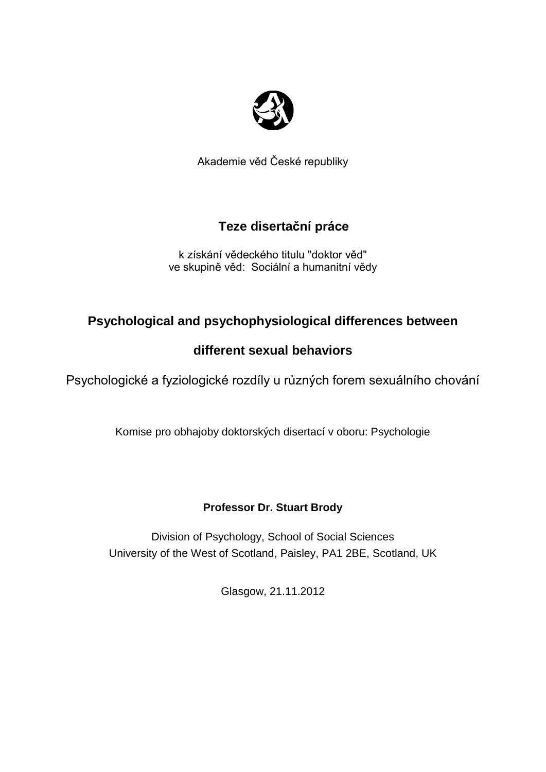

Akademie věd České republiky

# **Teze disertační práce**

k získání vědeckého titulu "doktor věd" ve skupině věd: Sociální a humanitní vědy

# **Psychological and psychophysiological differences between**

# **different sexual behaviors**

Psychologické a fyziologické rozdíly u různých forem sexuálního chování

Komise pro obhajoby doktorských disertací v oboru: Psychologie

## **Professor Dr. Stuart Brody**

Division of Psychology, School of Social Sciences University of the West of Scotland, Paisley, PA1 2BE, Scotland, UK

Glasgow, 21.11.2012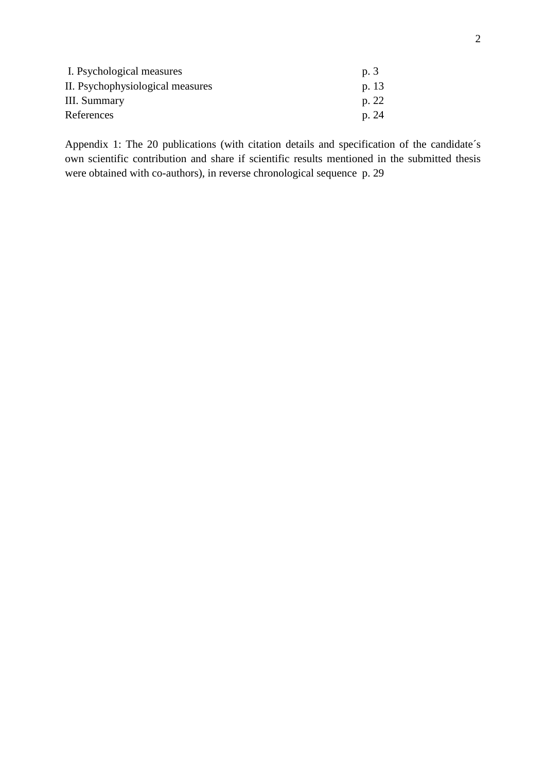| I. Psychological measures        | p.3   |
|----------------------------------|-------|
| II. Psychophysiological measures | p. 13 |
| III. Summary                     | p. 22 |
| References                       | p. 24 |

Appendix 1: The 20 publications (with citation details and specification of the candidate´s own scientific contribution and share if scientific results mentioned in the submitted thesis were obtained with co-authors), in reverse chronological sequence p. 29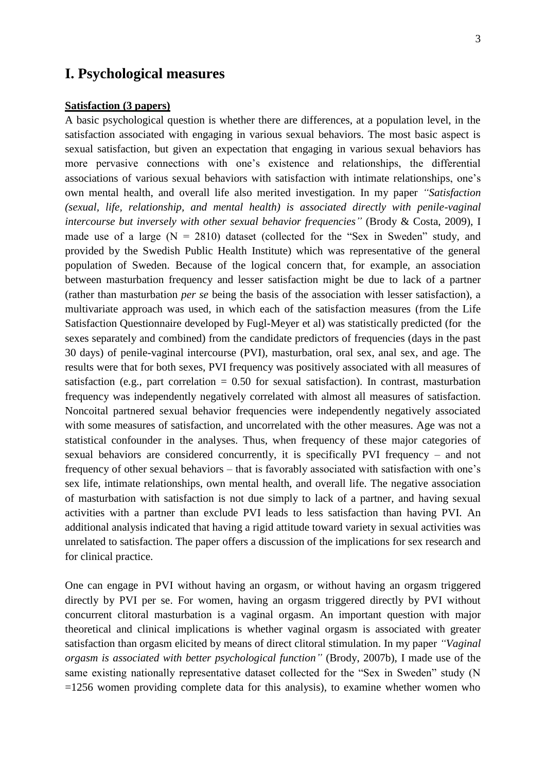### **I. Psychological measures**

#### **Satisfaction (3 papers)**

A basic psychological question is whether there are differences, at a population level, in the satisfaction associated with engaging in various sexual behaviors. The most basic aspect is sexual satisfaction, but given an expectation that engaging in various sexual behaviors has more pervasive connections with one's existence and relationships, the differential associations of various sexual behaviors with satisfaction with intimate relationships, one's own mental health, and overall life also merited investigation. In my paper *"Satisfaction (sexual, life, relationship, and mental health) is associated directly with penile-vaginal intercourse but inversely with other sexual behavior frequencies"* [\(Brody & Costa, 2009\)](#page-13-0), I made use of a large  $(N = 2810)$  dataset (collected for the "Sex in Sweden" study, and provided by the Swedish Public Health Institute) which was representative of the general population of Sweden. Because of the logical concern that, for example, an association between masturbation frequency and lesser satisfaction might be due to lack of a partner (rather than masturbation *per se* being the basis of the association with lesser satisfaction), a multivariate approach was used, in which each of the satisfaction measures (from the Life Satisfaction Questionnaire developed by Fugl-Meyer et al) was statistically predicted (for the sexes separately and combined) from the candidate predictors of frequencies (days in the past 30 days) of penile-vaginal intercourse (PVI), masturbation, oral sex, anal sex, and age. The results were that for both sexes, PVI frequency was positively associated with all measures of satisfaction (e.g., part correlation  $= 0.50$  for sexual satisfaction). In contrast, masturbation frequency was independently negatively correlated with almost all measures of satisfaction. Noncoital partnered sexual behavior frequencies were independently negatively associated with some measures of satisfaction, and uncorrelated with the other measures. Age was not a statistical confounder in the analyses. Thus, when frequency of these major categories of sexual behaviors are considered concurrently, it is specifically PVI frequency – and not frequency of other sexual behaviors – that is favorably associated with satisfaction with one's sex life, intimate relationships, own mental health, and overall life. The negative association of masturbation with satisfaction is not due simply to lack of a partner, and having sexual activities with a partner than exclude PVI leads to less satisfaction than having PVI. An additional analysis indicated that having a rigid attitude toward variety in sexual activities was unrelated to satisfaction. The paper offers a discussion of the implications for sex research and for clinical practice.

One can engage in PVI without having an orgasm, or without having an orgasm triggered directly by PVI per se. For women, having an orgasm triggered directly by PVI without concurrent clitoral masturbation is a vaginal orgasm. An important question with major theoretical and clinical implications is whether vaginal orgasm is associated with greater satisfaction than orgasm elicited by means of direct clitoral stimulation. In my paper *"Vaginal orgasm is associated with better psychological function"* [\(Brody, 2007b\)](#page-13-1), I made use of the same existing nationally representative dataset collected for the "Sex in Sweden" study (N =1256 women providing complete data for this analysis), to examine whether women who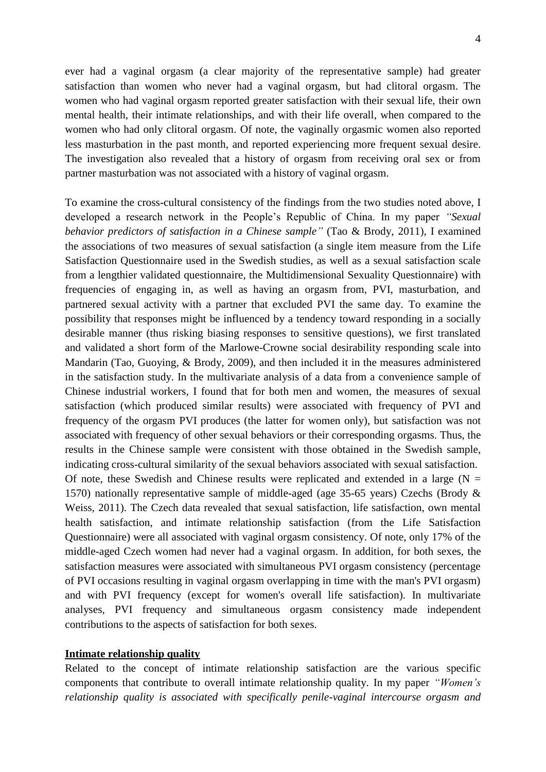ever had a vaginal orgasm (a clear majority of the representative sample) had greater satisfaction than women who never had a vaginal orgasm, but had clitoral orgasm. The women who had vaginal orgasm reported greater satisfaction with their sexual life, their own mental health, their intimate relationships, and with their life overall, when compared to the women who had only clitoral orgasm. Of note, the vaginally orgasmic women also reported less masturbation in the past month, and reported experiencing more frequent sexual desire. The investigation also revealed that a history of orgasm from receiving oral sex or from partner masturbation was not associated with a history of vaginal orgasm.

To examine the cross-cultural consistency of the findings from the two studies noted above, I developed a research network in the People's Republic of China. In my paper *"Sexual behavior predictors of satisfaction in a Chinese sample"* [\(Tao & Brody, 2011\)](#page-15-0), I examined the associations of two measures of sexual satisfaction (a single item measure from the Life Satisfaction Questionnaire used in the Swedish studies, as well as a sexual satisfaction scale from a lengthier validated questionnaire, the Multidimensional Sexuality Questionnaire) with frequencies of engaging in, as well as having an orgasm from, PVI, masturbation, and partnered sexual activity with a partner that excluded PVI the same day. To examine the possibility that responses might be influenced by a tendency toward responding in a socially desirable manner (thus risking biasing responses to sensitive questions), we first translated and validated a short form of the Marlowe-Crowne social desirability responding scale into Mandarin [\(Tao, Guoying, & Brody, 2009\)](#page-15-1), and then included it in the measures administered in the satisfaction study. In the multivariate analysis of a data from a convenience sample of Chinese industrial workers, I found that for both men and women, the measures of sexual satisfaction (which produced similar results) were associated with frequency of PVI and frequency of the orgasm PVI produces (the latter for women only), but satisfaction was not associated with frequency of other sexual behaviors or their corresponding orgasms. Thus, the results in the Chinese sample were consistent with those obtained in the Swedish sample, indicating cross-cultural similarity of the sexual behaviors associated with sexual satisfaction. Of note, these Swedish and Chinese results were replicated and extended in a large ( $N =$ 1570) nationally representative sample of middle-aged (age 35-65 years) Czechs [\(Brody &](#page-14-0)  [Weiss, 2011\)](#page-14-0). The Czech data revealed that sexual satisfaction, life satisfaction, own mental health satisfaction, and intimate relationship satisfaction (from the Life Satisfaction Questionnaire) were all associated with vaginal orgasm consistency. Of note, only 17% of the middle-aged Czech women had never had a vaginal orgasm. In addition, for both sexes, the satisfaction measures were associated with simultaneous PVI orgasm consistency (percentage of PVI occasions resulting in vaginal orgasm overlapping in time with the man's PVI orgasm) and with PVI frequency (except for women's overall life satisfaction). In multivariate analyses, PVI frequency and simultaneous orgasm consistency made independent contributions to the aspects of satisfaction for both sexes.

#### **Intimate relationship quality**

Related to the concept of intimate relationship satisfaction are the various specific components that contribute to overall intimate relationship quality. In my paper *"Women's relationship quality is associated with specifically penile-vaginal intercourse orgasm and*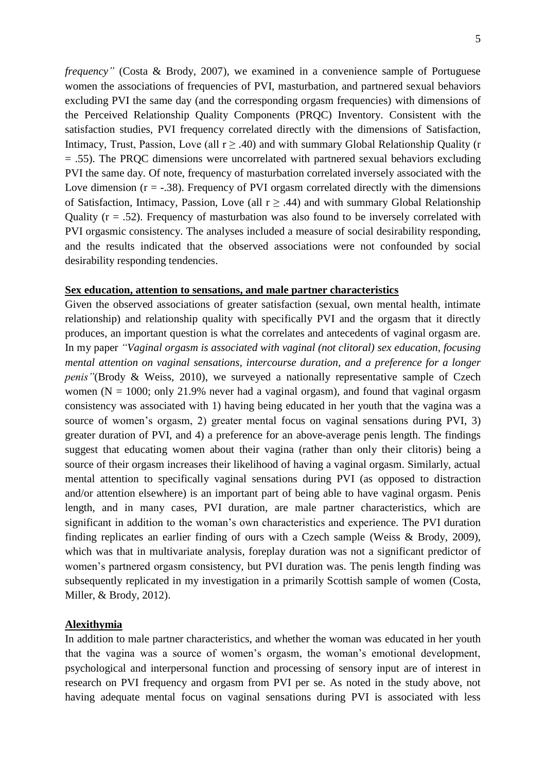5

*frequency"* [\(Costa & Brody, 2007\)](#page-14-1), we examined in a convenience sample of Portuguese women the associations of frequencies of PVI, masturbation, and partnered sexual behaviors excluding PVI the same day (and the corresponding orgasm frequencies) with dimensions of the Perceived Relationship Quality Components (PRQC) Inventory. Consistent with the satisfaction studies, PVI frequency correlated directly with the dimensions of Satisfaction, Intimacy, Trust, Passion, Love (all  $r \geq .40$ ) and with summary Global Relationship Quality (r = .55). The PRQC dimensions were uncorrelated with partnered sexual behaviors excluding PVI the same day*.* Of note, frequency of masturbation correlated inversely associated with the Love dimension  $(r = -.38)$ . Frequency of PVI orgasm correlated directly with the dimensions of Satisfaction, Intimacy, Passion, Love (all  $r \geq .44$ ) and with summary Global Relationship Quality  $(r = .52)$ . Frequency of masturbation was also found to be inversely correlated with PVI orgasmic consistency. The analyses included a measure of social desirability responding, and the results indicated that the observed associations were not confounded by social desirability responding tendencies.

#### **Sex education, attention to sensations, and male partner characteristics**

Given the observed associations of greater satisfaction (sexual, own mental health, intimate relationship) and relationship quality with specifically PVI and the orgasm that it directly produces, an important question is what the correlates and antecedents of vaginal orgasm are. In my paper *"Vaginal orgasm is associated with vaginal (not clitoral) sex education, focusing mental attention on vaginal sensations, intercourse duration, and a preference for a longer penis* "[\(Brody & Weiss, 2010\)](#page-14-2), we surveyed a nationally representative sample of Czech women ( $N = 1000$ ; only 21.9% never had a vaginal orgasm), and found that vaginal orgasm consistency was associated with 1) having being educated in her youth that the vagina was a source of women's orgasm, 2) greater mental focus on vaginal sensations during PVI, 3) greater duration of PVI, and 4) a preference for an above-average penis length. The findings suggest that educating women about their vagina (rather than only their clitoris) being a source of their orgasm increases their likelihood of having a vaginal orgasm. Similarly, actual mental attention to specifically vaginal sensations during PVI (as opposed to distraction and/or attention elsewhere) is an important part of being able to have vaginal orgasm. Penis length, and in many cases, PVI duration, are male partner characteristics, which are significant in addition to the woman's own characteristics and experience. The PVI duration finding replicates an earlier finding of ours with a Czech sample [\(Weiss & Brody, 2009\)](#page-15-2), which was that in multivariate analysis, foreplay duration was not a significant predictor of women's partnered orgasm consistency, but PVI duration was. The penis length finding was subsequently replicated in my investigation in a primarily Scottish sample of women [\(Costa,](#page-15-3)  [Miller, & Brody, 2012\)](#page-15-3).

#### **Alexithymia**

In addition to male partner characteristics, and whether the woman was educated in her youth that the vagina was a source of women's orgasm, the woman's emotional development, psychological and interpersonal function and processing of sensory input are of interest in research on PVI frequency and orgasm from PVI per se. As noted in the study above, not having adequate mental focus on vaginal sensations during PVI is associated with less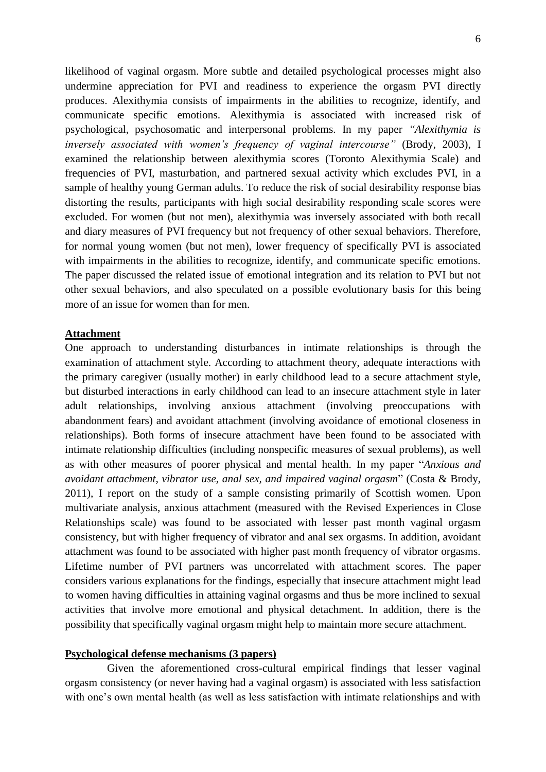likelihood of vaginal orgasm. More subtle and detailed psychological processes might also undermine appreciation for PVI and readiness to experience the orgasm PVI directly produces. Alexithymia consists of impairments in the abilities to recognize, identify, and communicate specific emotions. Alexithymia is associated with increased risk of psychological, psychosomatic and interpersonal problems. In my paper *"Alexithymia is inversely associated with women's frequency of vaginal intercourse"* [\(Brody, 2003\)](#page-13-2), I examined the relationship between alexithymia scores (Toronto Alexithymia Scale) and frequencies of PVI, masturbation, and partnered sexual activity which excludes PVI, in a sample of healthy young German adults. To reduce the risk of social desirability response bias distorting the results, participants with high social desirability responding scale scores were excluded. For women (but not men), alexithymia was inversely associated with both recall and diary measures of PVI frequency but not frequency of other sexual behaviors. Therefore, for normal young women (but not men), lower frequency of specifically PVI is associated with impairments in the abilities to recognize, identify, and communicate specific emotions. The paper discussed the related issue of emotional integration and its relation to PVI but not other sexual behaviors, and also speculated on a possible evolutionary basis for this being more of an issue for women than for men.

#### **Attachment**

One approach to understanding disturbances in intimate relationships is through the examination of attachment style. According to attachment theory, adequate interactions with the primary caregiver (usually mother) in early childhood lead to a secure attachment style, but disturbed interactions in early childhood can lead to an insecure attachment style in later adult relationships, involving anxious attachment (involving preoccupations with abandonment fears) and avoidant attachment (involving avoidance of emotional closeness in relationships). Both forms of insecure attachment have been found to be associated with intimate relationship difficulties (including nonspecific measures of sexual problems), as well as with other measures of poorer physical and mental health. In my paper "*Anxious and avoidant attachment, vibrator use, anal sex, and impaired vaginal orgasm*" [\(Costa & Brody,](#page-14-3)  [2011\)](#page-14-3), I report on the study of a sample consisting primarily of Scottish women*.* Upon multivariate analysis, anxious attachment (measured with the Revised Experiences in Close Relationships scale) was found to be associated with lesser past month vaginal orgasm consistency, but with higher frequency of vibrator and anal sex orgasms. In addition, avoidant attachment was found to be associated with higher past month frequency of vibrator orgasms. Lifetime number of PVI partners was uncorrelated with attachment scores. The paper considers various explanations for the findings, especially that insecure attachment might lead to women having difficulties in attaining vaginal orgasms and thus be more inclined to sexual activities that involve more emotional and physical detachment. In addition, there is the possibility that specifically vaginal orgasm might help to maintain more secure attachment.

#### **Psychological defense mechanisms (3 papers)**

Given the aforementioned cross-cultural empirical findings that lesser vaginal orgasm consistency (or never having had a vaginal orgasm) is associated with less satisfaction with one's own mental health (as well as less satisfaction with intimate relationships and with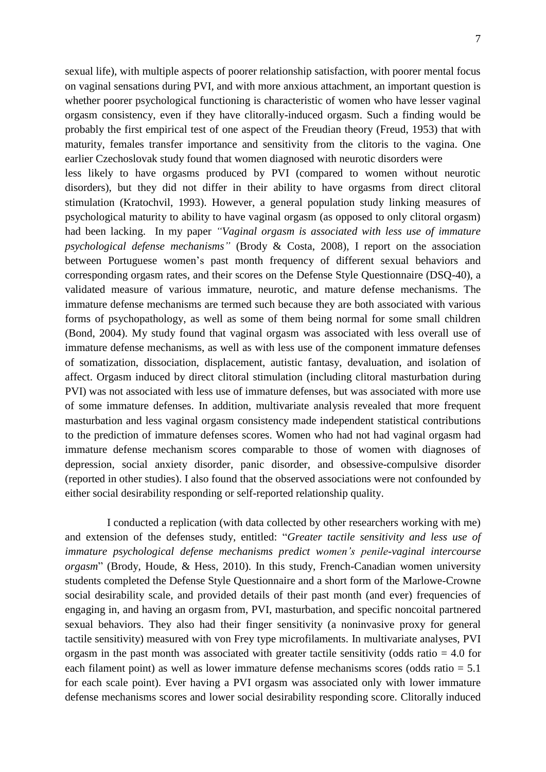sexual life), with multiple aspects of poorer relationship satisfaction, with poorer mental focus on vaginal sensations during PVI, and with more anxious attachment, an important question is whether poorer psychological functioning is characteristic of women who have lesser vaginal orgasm consistency, even if they have clitorally-induced orgasm. Such a finding would be probably the first empirical test of one aspect of the Freudian theory [\(Freud, 1953\)](#page-15-4) that with maturity, females transfer importance and sensitivity from the clitoris to the vagina. One earlier Czechoslovak study found that women diagnosed with neurotic disorders were

less likely to have orgasms produced by PVI (compared to women without neurotic disorders), but they did not differ in their ability to have orgasms from direct clitoral stimulation [\(Kratochvil, 1993\)](#page-15-5). However, a general population study linking measures of psychological maturity to ability to have vaginal orgasm (as opposed to only clitoral orgasm) had been lacking. In my paper *"Vaginal orgasm is associated with less use of immature psychological defense mechanisms"* [\(Brody & Costa, 2008\)](#page-13-3), I report on the association between Portuguese women's past month frequency of different sexual behaviors and corresponding orgasm rates, and their scores on the Defense Style Questionnaire (DSQ-40), a validated measure of various immature, neurotic, and mature defense mechanisms. The immature defense mechanisms are termed such because they are both associated with various forms of psychopathology, as well as some of them being normal for some small children [\(Bond, 2004\)](#page-13-4). My study found that vaginal orgasm was associated with less overall use of immature defense mechanisms, as well as with less use of the component immature defenses of somatization, dissociation, displacement, autistic fantasy, devaluation, and isolation of affect. Orgasm induced by direct clitoral stimulation (including clitoral masturbation during PVI) was not associated with less use of immature defenses, but was associated with more use of some immature defenses. In addition, multivariate analysis revealed that more frequent masturbation and less vaginal orgasm consistency made independent statistical contributions to the prediction of immature defenses scores. Women who had not had vaginal orgasm had immature defense mechanism scores comparable to those of women with diagnoses of depression, social anxiety disorder, panic disorder, and obsessive-compulsive disorder (reported in other studies). I also found that the observed associations were not confounded by either social desirability responding or self-reported relationship quality.

I conducted a replication (with data collected by other researchers working with me) and extension of the defenses study, entitled: "*Greater tactile sensitivity and less use of immature psychological defense mechanisms predict women's penile-vaginal intercourse orgasm*" [\(Brody, Houde, & Hess, 2010\)](#page-14-4). In this study, French-Canadian women university students completed the Defense Style Questionnaire and a short form of the Marlowe-Crowne social desirability scale, and provided details of their past month (and ever) frequencies of engaging in, and having an orgasm from, PVI, masturbation, and specific noncoital partnered sexual behaviors. They also had their finger sensitivity (a noninvasive proxy for general tactile sensitivity) measured with von Frey type microfilaments. In multivariate analyses, PVI orgasm in the past month was associated with greater tactile sensitivity (odds ratio  $= 4.0$  for each filament point) as well as lower immature defense mechanisms scores (odds ratio = 5.1 for each scale point). Ever having a PVI orgasm was associated only with lower immature defense mechanisms scores and lower social desirability responding score. Clitorally induced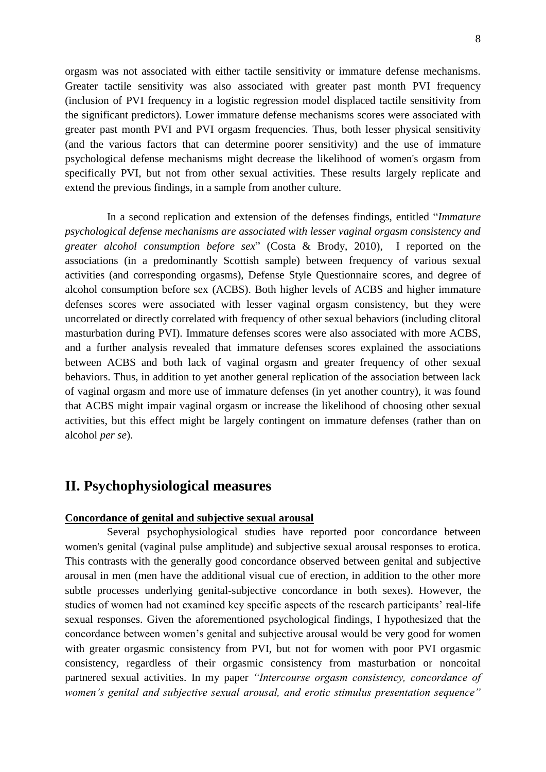orgasm was not associated with either tactile sensitivity or immature defense mechanisms. Greater tactile sensitivity was also associated with greater past month PVI frequency (inclusion of PVI frequency in a logistic regression model displaced tactile sensitivity from the significant predictors). Lower immature defense mechanisms scores were associated with greater past month PVI and PVI orgasm frequencies. Thus, both lesser physical sensitivity (and the various factors that can determine poorer sensitivity) and the use of immature psychological defense mechanisms might decrease the likelihood of women's orgasm from specifically PVI, but not from other sexual activities. These results largely replicate and extend the previous findings, in a sample from another culture.

In a second replication and extension of the defenses findings, entitled "*Immature psychological defense mechanisms are associated with lesser vaginal orgasm consistency and greater alcohol consumption before sex*" [\(Costa & Brody, 2010\)](#page-14-5), I reported on the associations (in a predominantly Scottish sample) between frequency of various sexual activities (and corresponding orgasms), Defense Style Questionnaire scores, and degree of alcohol consumption before sex (ACBS). Both higher levels of ACBS and higher immature defenses scores were associated with lesser vaginal orgasm consistency, but they were uncorrelated or directly correlated with frequency of other sexual behaviors (including clitoral masturbation during PVI). Immature defenses scores were also associated with more ACBS, and a further analysis revealed that immature defenses scores explained the associations between ACBS and both lack of vaginal orgasm and greater frequency of other sexual behaviors. Thus, in addition to yet another general replication of the association between lack of vaginal orgasm and more use of immature defenses (in yet another country), it was found that ACBS might impair vaginal orgasm or increase the likelihood of choosing other sexual activities, but this effect might be largely contingent on immature defenses (rather than on alcohol *per se*).

## **II. Psychophysiological measures**

#### **Concordance of genital and subjective sexual arousal**

Several psychophysiological studies have reported poor concordance between women's genital (vaginal pulse amplitude) and subjective sexual arousal responses to erotica. This contrasts with the generally good concordance observed between genital and subjective arousal in men (men have the additional visual cue of erection, in addition to the other more subtle processes underlying genital-subjective concordance in both sexes). However, the studies of women had not examined key specific aspects of the research participants' real-life sexual responses. Given the aforementioned psychological findings, I hypothesized that the concordance between women's genital and subjective arousal would be very good for women with greater orgasmic consistency from PVI, but not for women with poor PVI orgasmic consistency, regardless of their orgasmic consistency from masturbation or noncoital partnered sexual activities. In my paper *"Intercourse orgasm consistency, concordance of women's genital and subjective sexual arousal, and erotic stimulus presentation sequence"*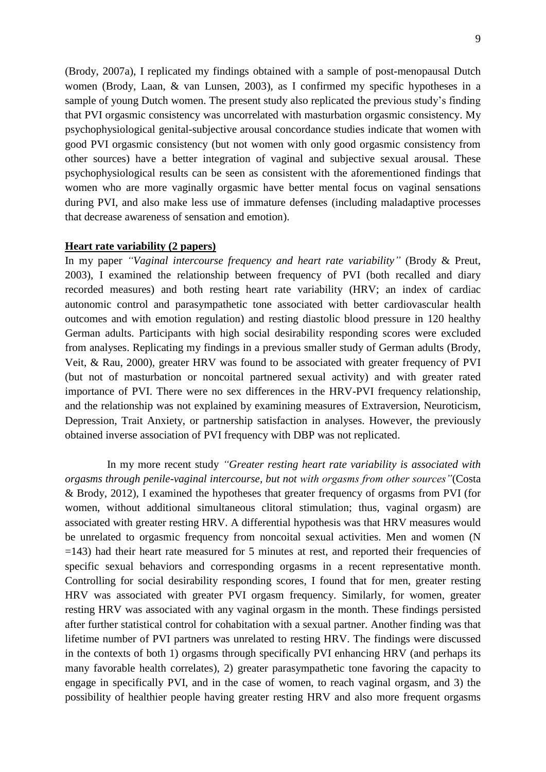[\(Brody, 2007a\)](#page-13-5), I replicated my findings obtained with a sample of post-menopausal Dutch women [\(Brody, Laan, & van Lunsen, 2003\)](#page-14-6), as I confirmed my specific hypotheses in a sample of young Dutch women. The present study also replicated the previous study's finding that PVI orgasmic consistency was uncorrelated with masturbation orgasmic consistency. My psychophysiological genital-subjective arousal concordance studies indicate that women with good PVI orgasmic consistency (but not women with only good orgasmic consistency from other sources) have a better integration of vaginal and subjective sexual arousal. These psychophysiological results can be seen as consistent with the aforementioned findings that women who are more vaginally orgasmic have better mental focus on vaginal sensations during PVI, and also make less use of immature defenses (including maladaptive processes that decrease awareness of sensation and emotion).

#### **Heart rate variability (2 papers)**

In my paper *"Vaginal intercourse frequency and heart rate variability"* [\(Brody & Preut,](#page-14-7)  [2003\)](#page-14-7), I examined the relationship between frequency of PVI (both recalled and diary recorded measures) and both resting heart rate variability (HRV; an index of cardiac autonomic control and parasympathetic tone associated with better cardiovascular health outcomes and with emotion regulation) and resting diastolic blood pressure in 120 healthy German adults. Participants with high social desirability responding scores were excluded from analyses. Replicating my findings in a previous smaller study of German adults [\(Brody,](#page-14-8)  [Veit, & Rau, 2000\)](#page-14-8), greater HRV was found to be associated with greater frequency of PVI (but not of masturbation or noncoital partnered sexual activity) and with greater rated importance of PVI. There were no sex differences in the HRV-PVI frequency relationship, and the relationship was not explained by examining measures of Extraversion, Neuroticism, Depression, Trait Anxiety, or partnership satisfaction in analyses. However, the previously obtained inverse association of PVI frequency with DBP was not replicated.

In my more recent study *"Greater resting heart rate variability is associated with orgasms through penile-vaginal intercourse, but not with orgasms from other sources"*[\(Costa](#page-14-9)  [& Brody, 2012\)](#page-14-9), I examined the hypotheses that greater frequency of orgasms from PVI (for women, without additional simultaneous clitoral stimulation; thus, vaginal orgasm) are associated with greater resting HRV. A differential hypothesis was that HRV measures would be unrelated to orgasmic frequency from noncoital sexual activities. Men and women (N =143) had their heart rate measured for 5 minutes at rest, and reported their frequencies of specific sexual behaviors and corresponding orgasms in a recent representative month. Controlling for social desirability responding scores, I found that for men, greater resting HRV was associated with greater PVI orgasm frequency. Similarly, for women, greater resting HRV was associated with any vaginal orgasm in the month. These findings persisted after further statistical control for cohabitation with a sexual partner. Another finding was that lifetime number of PVI partners was unrelated to resting HRV. The findings were discussed in the contexts of both 1) orgasms through specifically PVI enhancing HRV (and perhaps its many favorable health correlates), 2) greater parasympathetic tone favoring the capacity to engage in specifically PVI, and in the case of women, to reach vaginal orgasm, and 3) the possibility of healthier people having greater resting HRV and also more frequent orgasms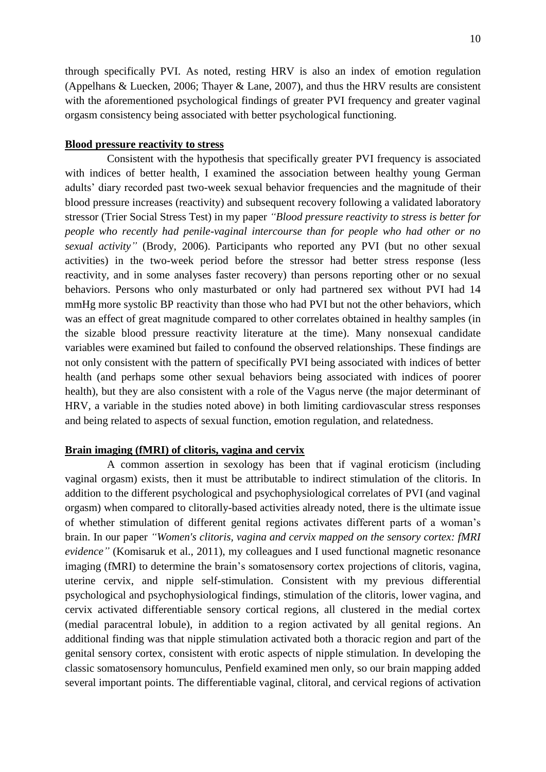through specifically PVI. As noted, resting HRV is also an index of emotion regulation [\(Appelhans & Luecken, 2006;](#page-13-6) [Thayer & Lane, 2007\)](#page-15-6), and thus the HRV results are consistent with the aforementioned psychological findings of greater PVI frequency and greater vaginal orgasm consistency being associated with better psychological functioning.

#### **Blood pressure reactivity to stress**

Consistent with the hypothesis that specifically greater PVI frequency is associated with indices of better health, I examined the association between healthy young German adults' diary recorded past two-week sexual behavior frequencies and the magnitude of their blood pressure increases (reactivity) and subsequent recovery following a validated laboratory stressor (Trier Social Stress Test) in my paper *"Blood pressure reactivity to stress is better for people who recently had penile-vaginal intercourse than for people who had other or no sexual activity"* [\(Brody, 2006\)](#page-13-7). Participants who reported any PVI (but no other sexual activities) in the two-week period before the stressor had better stress response (less reactivity, and in some analyses faster recovery) than persons reporting other or no sexual behaviors. Persons who only masturbated or only had partnered sex without PVI had 14 mmHg more systolic BP reactivity than those who had PVI but not the other behaviors, which was an effect of great magnitude compared to other correlates obtained in healthy samples (in the sizable blood pressure reactivity literature at the time). Many nonsexual candidate variables were examined but failed to confound the observed relationships. These findings are not only consistent with the pattern of specifically PVI being associated with indices of better health (and perhaps some other sexual behaviors being associated with indices of poorer health), but they are also consistent with a role of the Vagus nerve (the major determinant of HRV, a variable in the studies noted above) in both limiting cardiovascular stress responses and being related to aspects of sexual function, emotion regulation, and relatedness.

#### **Brain imaging (fMRI) of clitoris, vagina and cervix**

A common assertion in sexology has been that if vaginal eroticism (including vaginal orgasm) exists, then it must be attributable to indirect stimulation of the clitoris. In addition to the different psychological and psychophysiological correlates of PVI (and vaginal orgasm) when compared to clitorally-based activities already noted, there is the ultimate issue of whether stimulation of different genital regions activates different parts of a woman's brain. In our paper *"Women's clitoris, vagina and cervix mapped on the sensory cortex: fMRI evidence"* [\(Komisaruk et al., 2011\)](#page-15-7), my colleagues and I used functional magnetic resonance imaging (fMRI) to determine the brain's somatosensory cortex projections of clitoris, vagina, uterine cervix, and nipple self-stimulation. Consistent with my previous differential psychological and psychophysiological findings, stimulation of the clitoris, lower vagina, and cervix activated differentiable sensory cortical regions, all clustered in the medial cortex (medial paracentral lobule), in addition to a region activated by all genital regions. An additional finding was that nipple stimulation activated both a thoracic region and part of the genital sensory cortex, consistent with erotic aspects of nipple stimulation. In developing the classic somatosensory homunculus, Penfield examined men only, so our brain mapping added several important points. The differentiable vaginal, clitoral, and cervical regions of activation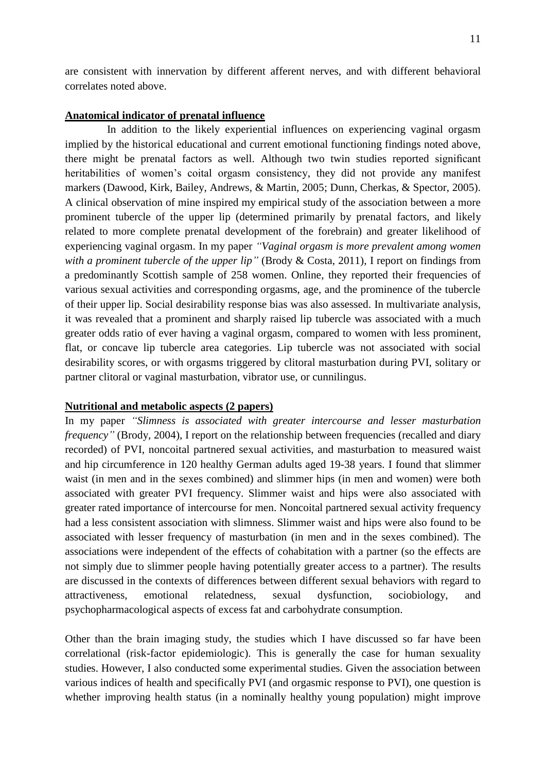are consistent with innervation by different afferent nerves, and with different behavioral correlates noted above.

#### **Anatomical indicator of prenatal influence**

In addition to the likely experiential influences on experiencing vaginal orgasm implied by the historical educational and current emotional functioning findings noted above, there might be prenatal factors as well. Although two twin studies reported significant heritabilities of women's coital orgasm consistency, they did not provide any manifest markers [\(Dawood, Kirk, Bailey, Andrews, & Martin, 2005;](#page-15-8) [Dunn, Cherkas, & Spector, 2005\)](#page-15-9). A clinical observation of mine inspired my empirical study of the association between a more prominent tubercle of the upper lip (determined primarily by prenatal factors, and likely related to more complete prenatal development of the forebrain) and greater likelihood of experiencing vaginal orgasm. In my paper *"Vaginal orgasm is more prevalent among women with a prominent tubercle of the upper lip"* [\(Brody & Costa, 2011\)](#page-14-10), I report on findings from a predominantly Scottish sample of 258 women. Online, they reported their frequencies of various sexual activities and corresponding orgasms, age, and the prominence of the tubercle of their upper lip. Social desirability response bias was also assessed. In multivariate analysis, it was revealed that a prominent and sharply raised lip tubercle was associated with a much greater odds ratio of ever having a vaginal orgasm, compared to women with less prominent, flat, or concave lip tubercle area categories. Lip tubercle was not associated with social desirability scores, or with orgasms triggered by clitoral masturbation during PVI, solitary or partner clitoral or vaginal masturbation, vibrator use, or cunnilingus.

#### **Nutritional and metabolic aspects (2 papers)**

In my paper *"Slimness is associated with greater intercourse and lesser masturbation frequency"* [\(Brody, 2004\)](#page-13-8), I report on the relationship between frequencies (recalled and diary recorded) of PVI, noncoital partnered sexual activities, and masturbation to measured waist and hip circumference in 120 healthy German adults aged 19-38 years. I found that slimmer waist (in men and in the sexes combined) and slimmer hips (in men and women) were both associated with greater PVI frequency. Slimmer waist and hips were also associated with greater rated importance of intercourse for men. Noncoital partnered sexual activity frequency had a less consistent association with slimness. Slimmer waist and hips were also found to be associated with lesser frequency of masturbation (in men and in the sexes combined). The associations were independent of the effects of cohabitation with a partner (so the effects are not simply due to slimmer people having potentially greater access to a partner). The results are discussed in the contexts of differences between different sexual behaviors with regard to attractiveness, emotional relatedness, sexual dysfunction, sociobiology, and psychopharmacological aspects of excess fat and carbohydrate consumption.

Other than the brain imaging study, the studies which I have discussed so far have been correlational (risk-factor epidemiologic). This is generally the case for human sexuality studies. However, I also conducted some experimental studies. Given the association between various indices of health and specifically PVI (and orgasmic response to PVI), one question is whether improving health status (in a nominally healthy young population) might improve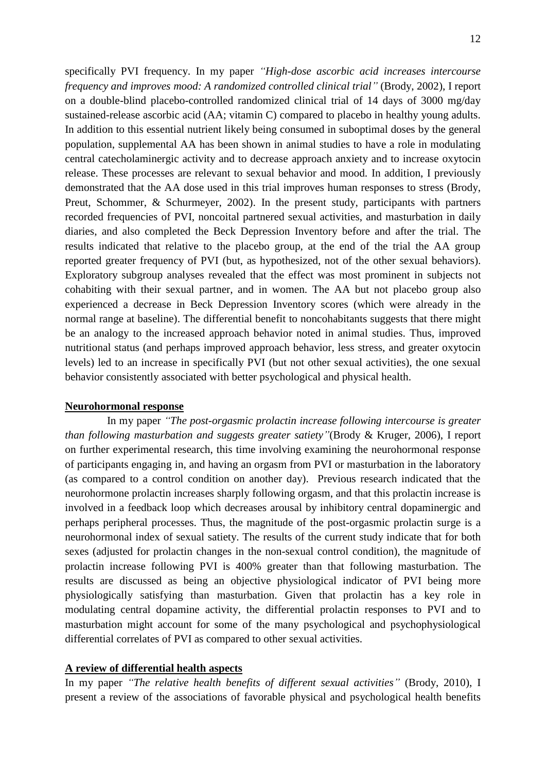specifically PVI frequency. In my paper *"High-dose ascorbic acid increases intercourse frequency and improves mood: A randomized controlled clinical trial"* [\(Brody, 2002\)](#page-13-9), I report on a double-blind placebo-controlled randomized clinical trial of 14 days of 3000 mg/day sustained-release ascorbic acid (AA; vitamin C) compared to placebo in healthy young adults. In addition to this essential nutrient likely being consumed in suboptimal doses by the general population, supplemental AA has been shown in animal studies to have a role in modulating central catecholaminergic activity and to decrease approach anxiety and to increase oxytocin release. These processes are relevant to sexual behavior and mood. In addition, I previously demonstrated that the AA dose used in this trial improves human responses to stress [\(Brody,](#page-14-11)  [Preut, Schommer, & Schurmeyer, 2002\)](#page-14-11). In the present study, participants with partners recorded frequencies of PVI, noncoital partnered sexual activities, and masturbation in daily diaries, and also completed the Beck Depression Inventory before and after the trial. The results indicated that relative to the placebo group, at the end of the trial the AA group reported greater frequency of PVI (but, as hypothesized, not of the other sexual behaviors). Exploratory subgroup analyses revealed that the effect was most prominent in subjects not cohabiting with their sexual partner, and in women. The AA but not placebo group also experienced a decrease in Beck Depression Inventory scores (which were already in the normal range at baseline). The differential benefit to noncohabitants suggests that there might be an analogy to the increased approach behavior noted in animal studies. Thus, improved nutritional status (and perhaps improved approach behavior, less stress, and greater oxytocin levels) led to an increase in specifically PVI (but not other sexual activities), the one sexual behavior consistently associated with better psychological and physical health.

#### **Neurohormonal response**

In my paper *"The post-orgasmic prolactin increase following intercourse is greater than following masturbation and suggests greater satiety"*[\(Brody & Kruger, 2006\)](#page-14-12), I report on further experimental research, this time involving examining the neurohormonal response of participants engaging in, and having an orgasm from PVI or masturbation in the laboratory (as compared to a control condition on another day). Previous research indicated that the neurohormone prolactin increases sharply following orgasm, and that this prolactin increase is involved in a feedback loop which decreases arousal by inhibitory central dopaminergic and perhaps peripheral processes. Thus, the magnitude of the post-orgasmic prolactin surge is a neurohormonal index of sexual satiety. The results of the current study indicate that for both sexes (adjusted for prolactin changes in the non-sexual control condition), the magnitude of prolactin increase following PVI is 400% greater than that following masturbation. The results are discussed as being an objective physiological indicator of PVI being more physiologically satisfying than masturbation. Given that prolactin has a key role in modulating central dopamine activity, the differential prolactin responses to PVI and to masturbation might account for some of the many psychological and psychophysiological differential correlates of PVI as compared to other sexual activities*.* 

#### **A review of differential health aspects**

In my paper *"The relative health benefits of different sexual activities"* [\(Brody, 2010\)](#page-13-10), I present a review of the associations of favorable physical and psychological health benefits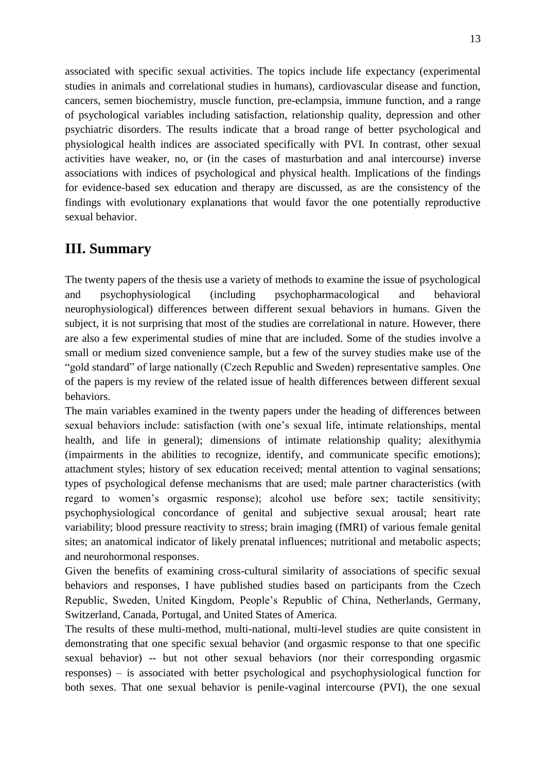associated with specific sexual activities. The topics include life expectancy (experimental studies in animals and correlational studies in humans), cardiovascular disease and function, cancers, semen biochemistry, muscle function, pre-eclampsia, immune function, and a range of psychological variables including satisfaction, relationship quality, depression and other psychiatric disorders. The results indicate that a broad range of better psychological and physiological health indices are associated specifically with PVI. In contrast, other sexual activities have weaker, no, or (in the cases of masturbation and anal intercourse) inverse associations with indices of psychological and physical health. Implications of the findings for evidence-based sex education and therapy are discussed, as are the consistency of the findings with evolutionary explanations that would favor the one potentially reproductive sexual behavior.

## **III. Summary**

The twenty papers of the thesis use a variety of methods to examine the issue of psychological and psychophysiological (including psychopharmacological and behavioral neurophysiological) differences between different sexual behaviors in humans. Given the subject, it is not surprising that most of the studies are correlational in nature. However, there are also a few experimental studies of mine that are included. Some of the studies involve a small or medium sized convenience sample, but a few of the survey studies make use of the "gold standard" of large nationally (Czech Republic and Sweden) representative samples. One of the papers is my review of the related issue of health differences between different sexual behaviors.

The main variables examined in the twenty papers under the heading of differences between sexual behaviors include: satisfaction (with one's sexual life, intimate relationships, mental health, and life in general); dimensions of intimate relationship quality; alexithymia (impairments in the abilities to recognize, identify, and communicate specific emotions); attachment styles; history of sex education received; mental attention to vaginal sensations; types of psychological defense mechanisms that are used; male partner characteristics (with regard to women's orgasmic response); alcohol use before sex; tactile sensitivity; psychophysiological concordance of genital and subjective sexual arousal; heart rate variability; blood pressure reactivity to stress; brain imaging (fMRI) of various female genital sites; an anatomical indicator of likely prenatal influences; nutritional and metabolic aspects; and neurohormonal responses.

Given the benefits of examining cross-cultural similarity of associations of specific sexual behaviors and responses, I have published studies based on participants from the Czech Republic, Sweden, United Kingdom, People's Republic of China, Netherlands, Germany, Switzerland, Canada, Portugal, and United States of America.

The results of these multi-method, multi-national, multi-level studies are quite consistent in demonstrating that one specific sexual behavior (and orgasmic response to that one specific sexual behavior) -- but not other sexual behaviors (nor their corresponding orgasmic responses) – is associated with better psychological and psychophysiological function for both sexes. That one sexual behavior is penile-vaginal intercourse (PVI), the one sexual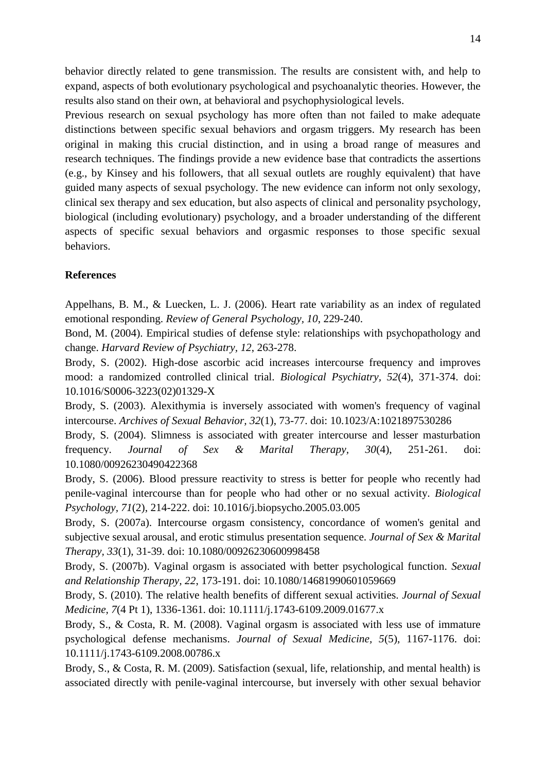behavior directly related to gene transmission. The results are consistent with, and help to expand, aspects of both evolutionary psychological and psychoanalytic theories. However, the results also stand on their own, at behavioral and psychophysiological levels.

Previous research on sexual psychology has more often than not failed to make adequate distinctions between specific sexual behaviors and orgasm triggers. My research has been original in making this crucial distinction, and in using a broad range of measures and research techniques. The findings provide a new evidence base that contradicts the assertions (e.g., by Kinsey and his followers, that all sexual outlets are roughly equivalent) that have guided many aspects of sexual psychology. The new evidence can inform not only sexology, clinical sex therapy and sex education, but also aspects of clinical and personality psychology, biological (including evolutionary) psychology, and a broader understanding of the different aspects of specific sexual behaviors and orgasmic responses to those specific sexual behaviors.

#### **References**

<span id="page-13-6"></span>Appelhans, B. M., & Luecken, L. J. (2006). Heart rate variability as an index of regulated emotional responding. *Review of General Psychology, 10*, 229-240.

<span id="page-13-4"></span>Bond, M. (2004). Empirical studies of defense style: relationships with psychopathology and change. *Harvard Review of Psychiatry, 12*, 263-278.

<span id="page-13-9"></span>Brody, S. (2002). High-dose ascorbic acid increases intercourse frequency and improves mood: a randomized controlled clinical trial. *Biological Psychiatry, 52*(4), 371-374. doi: 10.1016/S0006-3223(02)01329-X

<span id="page-13-2"></span>Brody, S. (2003). Alexithymia is inversely associated with women's frequency of vaginal intercourse. *Archives of Sexual Behavior, 32*(1), 73-77. doi: 10.1023/A:1021897530286

<span id="page-13-8"></span>Brody, S. (2004). Slimness is associated with greater intercourse and lesser masturbation frequency. *Journal of Sex & Marital Therapy, 30*(4), 251-261. doi: 10.1080/00926230490422368

<span id="page-13-7"></span>Brody, S. (2006). Blood pressure reactivity to stress is better for people who recently had penile-vaginal intercourse than for people who had other or no sexual activity. *Biological Psychology, 71*(2), 214-222. doi: 10.1016/j.biopsycho.2005.03.005

<span id="page-13-5"></span>Brody, S. (2007a). Intercourse orgasm consistency, concordance of women's genital and subjective sexual arousal, and erotic stimulus presentation sequence. *Journal of Sex & Marital Therapy, 33*(1), 31-39. doi: 10.1080/00926230600998458

<span id="page-13-1"></span>Brody, S. (2007b). Vaginal orgasm is associated with better psychological function. *Sexual and Relationship Therapy, 22*, 173-191. doi: 10.1080/14681990601059669

<span id="page-13-10"></span>Brody, S. (2010). The relative health benefits of different sexual activities. *Journal of Sexual Medicine, 7*(4 Pt 1), 1336-1361. doi: 10.1111/j.1743-6109.2009.01677.x

<span id="page-13-3"></span>Brody, S., & Costa, R. M. (2008). Vaginal orgasm is associated with less use of immature psychological defense mechanisms. *Journal of Sexual Medicine, 5*(5), 1167-1176. doi: 10.1111/j.1743-6109.2008.00786.x

<span id="page-13-0"></span>Brody, S., & Costa, R. M. (2009). Satisfaction (sexual, life, relationship, and mental health) is associated directly with penile-vaginal intercourse, but inversely with other sexual behavior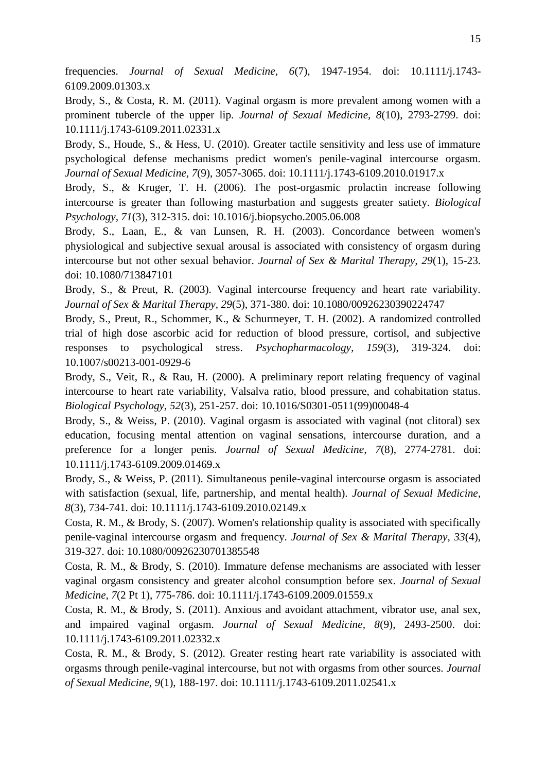frequencies. *Journal of Sexual Medicine, 6*(7), 1947-1954. doi: 10.1111/j.1743- 6109.2009.01303.x

<span id="page-14-10"></span>Brody, S., & Costa, R. M. (2011). Vaginal orgasm is more prevalent among women with a prominent tubercle of the upper lip. *Journal of Sexual Medicine, 8*(10), 2793-2799. doi: 10.1111/j.1743-6109.2011.02331.x

<span id="page-14-4"></span>Brody, S., Houde, S., & Hess, U. (2010). Greater tactile sensitivity and less use of immature psychological defense mechanisms predict women's penile-vaginal intercourse orgasm. *Journal of Sexual Medicine, 7*(9), 3057-3065. doi: 10.1111/j.1743-6109.2010.01917.x

<span id="page-14-12"></span>Brody, S., & Kruger, T. H. (2006). The post-orgasmic prolactin increase following intercourse is greater than following masturbation and suggests greater satiety. *Biological Psychology, 71*(3), 312-315. doi: 10.1016/j.biopsycho.2005.06.008

<span id="page-14-6"></span>Brody, S., Laan, E., & van Lunsen, R. H. (2003). Concordance between women's physiological and subjective sexual arousal is associated with consistency of orgasm during intercourse but not other sexual behavior. *Journal of Sex & Marital Therapy, 29*(1), 15-23. doi: 10.1080/713847101

<span id="page-14-7"></span>Brody, S., & Preut, R. (2003). Vaginal intercourse frequency and heart rate variability. *Journal of Sex & Marital Therapy, 29*(5), 371-380. doi: 10.1080/00926230390224747

<span id="page-14-11"></span>Brody, S., Preut, R., Schommer, K., & Schurmeyer, T. H. (2002). A randomized controlled trial of high dose ascorbic acid for reduction of blood pressure, cortisol, and subjective responses to psychological stress. *Psychopharmacology, 159*(3), 319-324. doi: 10.1007/s00213-001-0929-6

<span id="page-14-8"></span>Brody, S., Veit, R., & Rau, H. (2000). A preliminary report relating frequency of vaginal intercourse to heart rate variability, Valsalva ratio, blood pressure, and cohabitation status. *Biological Psychology, 52*(3), 251-257. doi: 10.1016/S0301-0511(99)00048-4

<span id="page-14-2"></span>Brody, S., & Weiss, P. (2010). Vaginal orgasm is associated with vaginal (not clitoral) sex education, focusing mental attention on vaginal sensations, intercourse duration, and a preference for a longer penis. *Journal of Sexual Medicine, 7*(8), 2774-2781. doi: 10.1111/j.1743-6109.2009.01469.x

<span id="page-14-0"></span>Brody, S., & Weiss, P. (2011). Simultaneous penile-vaginal intercourse orgasm is associated with satisfaction (sexual, life, partnership, and mental health). *Journal of Sexual Medicine, 8*(3), 734-741. doi: 10.1111/j.1743-6109.2010.02149.x

<span id="page-14-1"></span>Costa, R. M., & Brody, S. (2007). Women's relationship quality is associated with specifically penile-vaginal intercourse orgasm and frequency. *Journal of Sex & Marital Therapy, 33*(4), 319-327. doi: 10.1080/00926230701385548

<span id="page-14-5"></span>Costa, R. M., & Brody, S. (2010). Immature defense mechanisms are associated with lesser vaginal orgasm consistency and greater alcohol consumption before sex. *Journal of Sexual Medicine, 7*(2 Pt 1), 775-786. doi: 10.1111/j.1743-6109.2009.01559.x

<span id="page-14-3"></span>Costa, R. M., & Brody, S. (2011). Anxious and avoidant attachment, vibrator use, anal sex, and impaired vaginal orgasm. *Journal of Sexual Medicine, 8*(9), 2493-2500. doi: 10.1111/j.1743-6109.2011.02332.x

<span id="page-14-9"></span>Costa, R. M., & Brody, S. (2012). Greater resting heart rate variability is associated with orgasms through penile-vaginal intercourse, but not with orgasms from other sources. *Journal of Sexual Medicine, 9*(1), 188-197. doi: 10.1111/j.1743-6109.2011.02541.x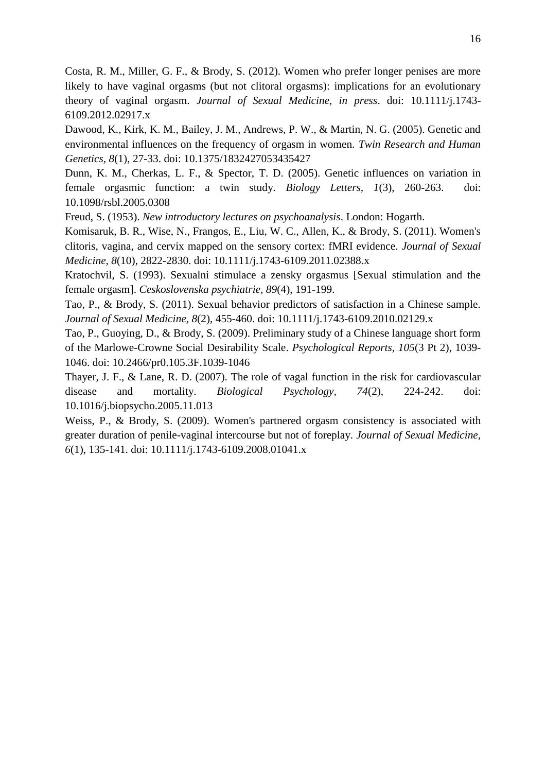<span id="page-15-3"></span>Costa, R. M., Miller, G. F., & Brody, S. (2012). Women who prefer longer penises are more likely to have vaginal orgasms (but not clitoral orgasms): implications for an evolutionary theory of vaginal orgasm. *Journal of Sexual Medicine, in press*. doi: 10.1111/j.1743- 6109.2012.02917.x

<span id="page-15-8"></span>Dawood, K., Kirk, K. M., Bailey, J. M., Andrews, P. W., & Martin, N. G. (2005). Genetic and environmental influences on the frequency of orgasm in women. *Twin Research and Human Genetics, 8*(1), 27-33. doi: 10.1375/1832427053435427

<span id="page-15-9"></span>Dunn, K. M., Cherkas, L. F., & Spector, T. D. (2005). Genetic influences on variation in female orgasmic function: a twin study. *Biology Letters, 1*(3), 260-263. doi: 10.1098/rsbl.2005.0308

<span id="page-15-4"></span>Freud, S. (1953). *New introductory lectures on psychoanalysis*. London: Hogarth.

<span id="page-15-7"></span>Komisaruk, B. R., Wise, N., Frangos, E., Liu, W. C., Allen, K., & Brody, S. (2011). Women's clitoris, vagina, and cervix mapped on the sensory cortex: fMRI evidence. *Journal of Sexual Medicine, 8*(10), 2822-2830. doi: 10.1111/j.1743-6109.2011.02388.x

<span id="page-15-5"></span>Kratochvil, S. (1993). Sexualni stimulace a zensky orgasmus [Sexual stimulation and the female orgasm]. *Ceskoslovenska psychiatrie, 89*(4), 191-199.

<span id="page-15-0"></span>Tao, P., & Brody, S. (2011). Sexual behavior predictors of satisfaction in a Chinese sample. *Journal of Sexual Medicine, 8*(2), 455-460. doi: 10.1111/j.1743-6109.2010.02129.x

<span id="page-15-1"></span>Tao, P., Guoying, D., & Brody, S. (2009). Preliminary study of a Chinese language short form of the Marlowe-Crowne Social Desirability Scale. *Psychological Reports, 105*(3 Pt 2), 1039- 1046. doi: 10.2466/pr0.105.3F.1039-1046

<span id="page-15-6"></span>Thayer, J. F., & Lane, R. D. (2007). The role of vagal function in the risk for cardiovascular disease and mortality. *Biological Psychology, 74*(2), 224-242. doi: 10.1016/j.biopsycho.2005.11.013

<span id="page-15-2"></span>Weiss, P., & Brody, S. (2009). Women's partnered orgasm consistency is associated with greater duration of penile-vaginal intercourse but not of foreplay. *Journal of Sexual Medicine, 6*(1), 135-141. doi: 10.1111/j.1743-6109.2008.01041.x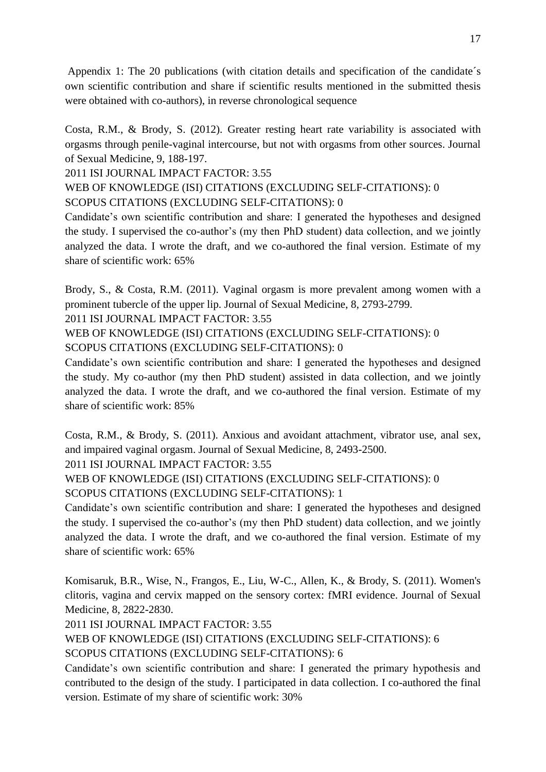Appendix 1: The 20 publications (with citation details and specification of the candidate´s own scientific contribution and share if scientific results mentioned in the submitted thesis were obtained with co-authors), in reverse chronological sequence

Costa, R.M., & Brody, S. (2012). Greater resting heart rate variability is associated with orgasms through penile-vaginal intercourse, but not with orgasms from other sources. Journal of Sexual Medicine, 9, 188-197.

2011 ISI JOURNAL IMPACT FACTOR: 3.55

WEB OF KNOWLEDGE (ISI) CITATIONS (EXCLUDING SELF-CITATIONS): 0 SCOPUS CITATIONS (EXCLUDING SELF-CITATIONS): 0

Candidate's own scientific contribution and share: I generated the hypotheses and designed the study. I supervised the co-author's (my then PhD student) data collection, and we jointly analyzed the data. I wrote the draft, and we co-authored the final version. Estimate of my share of scientific work: 65%

Brody, S., & Costa, R.M. (2011). Vaginal orgasm is more prevalent among women with a prominent tubercle of the upper lip. Journal of Sexual Medicine, 8, 2793-2799.

2011 ISI JOURNAL IMPACT FACTOR: 3.55

WEB OF KNOWLEDGE (ISI) CITATIONS (EXCLUDING SELF-CITATIONS): 0 SCOPUS CITATIONS (EXCLUDING SELF-CITATIONS): 0

Candidate's own scientific contribution and share: I generated the hypotheses and designed the study. My co-author (my then PhD student) assisted in data collection, and we jointly analyzed the data. I wrote the draft, and we co-authored the final version. Estimate of my share of scientific work: 85%

Costa, R.M., & Brody, S. (2011). Anxious and avoidant attachment, vibrator use, anal sex, and impaired vaginal orgasm. Journal of Sexual Medicine, 8, 2493-2500.

2011 ISI JOURNAL IMPACT FACTOR: 3.55

WEB OF KNOWLEDGE (ISI) CITATIONS (EXCLUDING SELF-CITATIONS): 0 SCOPUS CITATIONS (EXCLUDING SELF-CITATIONS): 1

Candidate's own scientific contribution and share: I generated the hypotheses and designed the study. I supervised the co-author's (my then PhD student) data collection, and we jointly analyzed the data. I wrote the draft, and we co-authored the final version. Estimate of my share of scientific work: 65%

Komisaruk, B.R., Wise, N., Frangos, E., Liu, W-C., Allen, K., & Brody, S. (2011). Women's clitoris, vagina and cervix mapped on the sensory cortex: fMRI evidence. Journal of Sexual Medicine, 8, 2822-2830.

2011 ISI JOURNAL IMPACT FACTOR: 3.55

WEB OF KNOWLEDGE (ISI) CITATIONS (EXCLUDING SELF-CITATIONS): 6

SCOPUS CITATIONS (EXCLUDING SELF-CITATIONS): 6

Candidate's own scientific contribution and share: I generated the primary hypothesis and contributed to the design of the study. I participated in data collection. I co-authored the final version. Estimate of my share of scientific work: 30%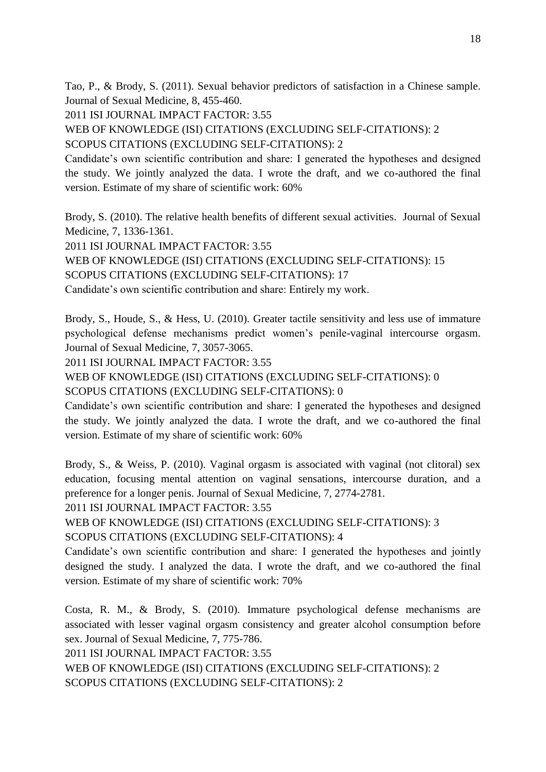Tao, P., & Brody, S. (2011). Sexual behavior predictors of satisfaction in a Chinese sample. Journal of Sexual Medicine, 8, 455-460.

2011 ISI JOURNAL IMPACT FACTOR: 3.55

WEB OF KNOWLEDGE (ISI) CITATIONS (EXCLUDING SELF-CITATIONS): 2 SCOPUS CITATIONS (EXCLUDING SELF-CITATIONS): 2

Candidate's own scientific contribution and share: I generated the hypotheses and designed the study. We jointly analyzed the data. I wrote the draft, and we co-authored the final version. Estimate of my share of scientific work: 60%

Brody, S. (2010). The relative health benefits of different sexual activities. Journal of Sexual Medicine, 7, 1336-1361.

2011 ISI JOURNAL IMPACT FACTOR: 3.55

WEB OF KNOWLEDGE (ISI) CITATIONS (EXCLUDING SELF-CITATIONS): 15 SCOPUS CITATIONS (EXCLUDING SELF-CITATIONS): 17

Candidate's own scientific contribution and share: Entirely my work.

Brody, S., Houde, S., & Hess, U. (2010). Greater tactile sensitivity and less use of immature psychological defense mechanisms predict women's penile-vaginal intercourse orgasm. Journal of Sexual Medicine, 7, 3057-3065.

2011 ISI JOURNAL IMPACT FACTOR: 3.55

WEB OF KNOWLEDGE (ISI) CITATIONS (EXCLUDING SELF-CITATIONS): 0

SCOPUS CITATIONS (EXCLUDING SELF-CITATIONS): 0

Candidate's own scientific contribution and share: I generated the hypotheses and designed the study. We jointly analyzed the data. I wrote the draft, and we co-authored the final version. Estimate of my share of scientific work: 60%

Brody, S., & Weiss, P. (2010). Vaginal orgasm is associated with vaginal (not clitoral) sex education, focusing mental attention on vaginal sensations, intercourse duration, and a preference for a longer penis. Journal of Sexual Medicine, 7, 2774-2781.

2011 ISI JOURNAL IMPACT FACTOR: 3.55

WEB OF KNOWLEDGE (ISI) CITATIONS (EXCLUDING SELF-CITATIONS): 3

SCOPUS CITATIONS (EXCLUDING SELF-CITATIONS): 4

Candidate's own scientific contribution and share: I generated the hypotheses and jointly designed the study. I analyzed the data. I wrote the draft, and we co-authored the final version. Estimate of my share of scientific work: 70%

Costa, R. M., & Brody, S. (2010). Immature psychological defense mechanisms are associated with lesser vaginal orgasm consistency and greater alcohol consumption before sex. Journal of Sexual Medicine, 7, 775-786.

2011 ISI JOURNAL IMPACT FACTOR: 3.55

WEB OF KNOWLEDGE (ISI) CITATIONS (EXCLUDING SELF-CITATIONS): 2 SCOPUS CITATIONS (EXCLUDING SELF-CITATIONS): 2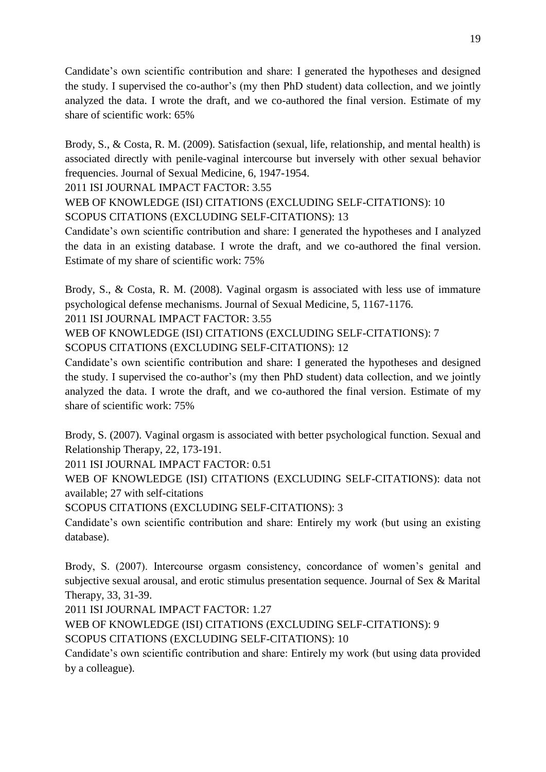Candidate's own scientific contribution and share: I generated the hypotheses and designed the study. I supervised the co-author's (my then PhD student) data collection, and we jointly analyzed the data. I wrote the draft, and we co-authored the final version. Estimate of my share of scientific work: 65%

Brody, S., & Costa, R. M. (2009). Satisfaction (sexual, life, relationship, and mental health) is associated directly with penile-vaginal intercourse but inversely with other sexual behavior frequencies. Journal of Sexual Medicine, 6, 1947-1954.

2011 ISI JOURNAL IMPACT FACTOR: 3.55

WEB OF KNOWLEDGE (ISI) CITATIONS (EXCLUDING SELF-CITATIONS): 10 SCOPUS CITATIONS (EXCLUDING SELF-CITATIONS): 13

Candidate's own scientific contribution and share: I generated the hypotheses and I analyzed the data in an existing database. I wrote the draft, and we co-authored the final version. Estimate of my share of scientific work: 75%

Brody, S., & Costa, R. M. (2008). Vaginal orgasm is associated with less use of immature psychological defense mechanisms. Journal of Sexual Medicine, 5, 1167-1176.

2011 ISI JOURNAL IMPACT FACTOR: 3.55

WEB OF KNOWLEDGE (ISI) CITATIONS (EXCLUDING SELF-CITATIONS): 7 SCOPUS CITATIONS (EXCLUDING SELF-CITATIONS): 12

Candidate's own scientific contribution and share: I generated the hypotheses and designed the study. I supervised the co-author's (my then PhD student) data collection, and we jointly analyzed the data. I wrote the draft, and we co-authored the final version. Estimate of my share of scientific work: 75%

Brody, S. (2007). Vaginal orgasm is associated with better psychological function. Sexual and Relationship Therapy, 22, 173-191.

2011 ISI JOURNAL IMPACT FACTOR: 0.51

WEB OF KNOWLEDGE (ISI) CITATIONS (EXCLUDING SELF-CITATIONS): data not available; 27 with self-citations

SCOPUS CITATIONS (EXCLUDING SELF-CITATIONS): 3

Candidate's own scientific contribution and share: Entirely my work (but using an existing database).

Brody, S. (2007). Intercourse orgasm consistency, concordance of women's genital and subjective sexual arousal, and erotic stimulus presentation sequence. Journal of Sex & Marital Therapy, 33, 31-39.

2011 ISI JOURNAL IMPACT FACTOR: 1.27

WEB OF KNOWLEDGE (ISI) CITATIONS (EXCLUDING SELF-CITATIONS): 9

SCOPUS CITATIONS (EXCLUDING SELF-CITATIONS): 10

Candidate's own scientific contribution and share: Entirely my work (but using data provided by a colleague).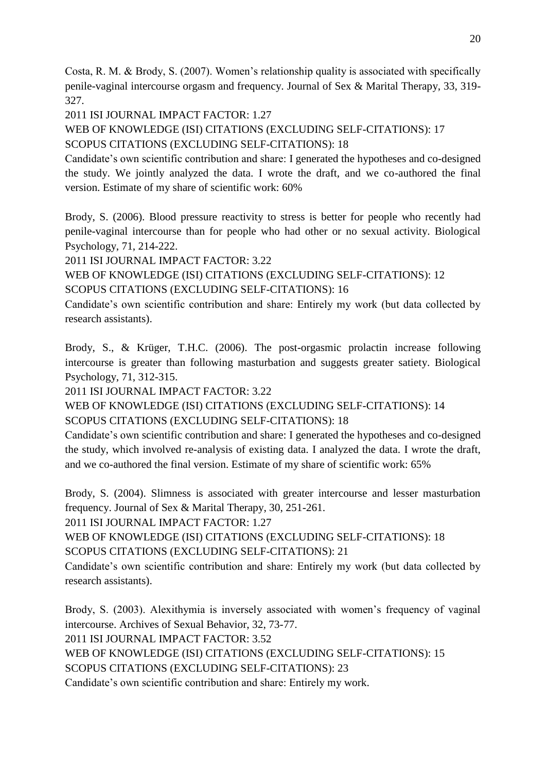Costa, R. M. & Brody, S. (2007). Women's relationship quality is associated with specifically penile-vaginal intercourse orgasm and frequency. Journal of Sex & Marital Therapy, 33, 319- 327.

2011 ISI JOURNAL IMPACT FACTOR: 1.27

WEB OF KNOWLEDGE (ISI) CITATIONS (EXCLUDING SELF-CITATIONS): 17 SCOPUS CITATIONS (EXCLUDING SELF-CITATIONS): 18

Candidate's own scientific contribution and share: I generated the hypotheses and co-designed the study. We jointly analyzed the data. I wrote the draft, and we co-authored the final version. Estimate of my share of scientific work: 60%

Brody, S. (2006). Blood pressure reactivity to stress is better for people who recently had penile-vaginal intercourse than for people who had other or no sexual activity. Biological Psychology, 71, 214-222.

2011 ISI JOURNAL IMPACT FACTOR: 3.22

WEB OF KNOWLEDGE (ISI) CITATIONS (EXCLUDING SELF-CITATIONS): 12 SCOPUS CITATIONS (EXCLUDING SELF-CITATIONS): 16

Candidate's own scientific contribution and share: Entirely my work (but data collected by research assistants).

Brody, S., & Krüger, T.H.C. (2006). The post-orgasmic prolactin increase following intercourse is greater than following masturbation and suggests greater satiety. Biological Psychology, 71, 312-315.

2011 ISI JOURNAL IMPACT FACTOR: 3.22

WEB OF KNOWLEDGE (ISI) CITATIONS (EXCLUDING SELF-CITATIONS): 14 SCOPUS CITATIONS (EXCLUDING SELF-CITATIONS): 18

Candidate's own scientific contribution and share: I generated the hypotheses and co-designed the study, which involved re-analysis of existing data. I analyzed the data. I wrote the draft, and we co-authored the final version. Estimate of my share of scientific work: 65%

Brody, S. (2004). Slimness is associated with greater intercourse and lesser masturbation frequency. Journal of Sex & Marital Therapy, 30, 251-261.

2011 ISI JOURNAL IMPACT FACTOR: 1.27

WEB OF KNOWLEDGE (ISI) CITATIONS (EXCLUDING SELF-CITATIONS): 18

SCOPUS CITATIONS (EXCLUDING SELF-CITATIONS): 21

Candidate's own scientific contribution and share: Entirely my work (but data collected by research assistants).

Brody, S. (2003). Alexithymia is inversely associated with women's frequency of vaginal intercourse. Archives of Sexual Behavior, 32, 73-77.

2011 ISI JOURNAL IMPACT FACTOR: 3.52

WEB OF KNOWLEDGE (ISI) CITATIONS (EXCLUDING SELF-CITATIONS): 15

SCOPUS CITATIONS (EXCLUDING SELF-CITATIONS): 23

Candidate's own scientific contribution and share: Entirely my work.